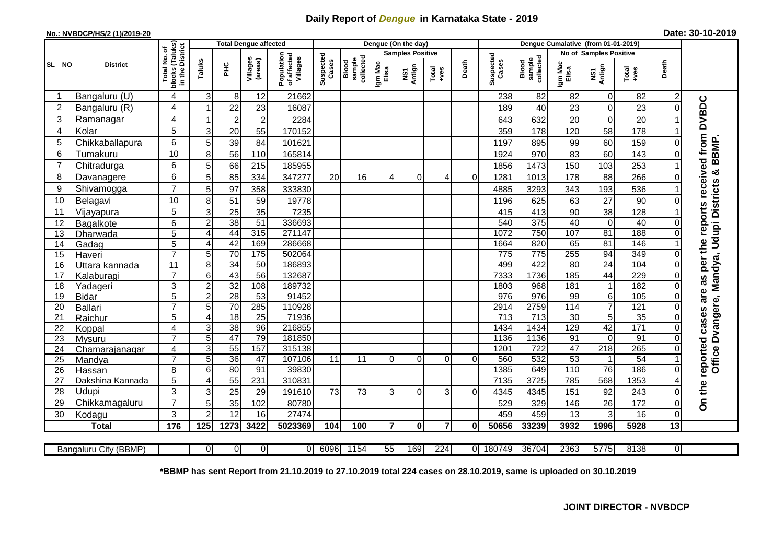## **Daily Report of** *Dengue* **in Karnataka State - 2019**

## **No.: NVBDCP/HS/2 (1)/2019-20**

| Date: 30-10-2019 |  |  |  |
|------------------|--|--|--|
|------------------|--|--|--|

|                |                       |                                                    |                  |                 |                     | Dengue (On the day)<br>Denque Cumalative (from 01-01-2019)<br><b>Total Dengue affected</b> |                    |                                     |                  |                         |                  |          |                    |                              |                  |                               |                  |                 |                                                                       |
|----------------|-----------------------|----------------------------------------------------|------------------|-----------------|---------------------|--------------------------------------------------------------------------------------------|--------------------|-------------------------------------|------------------|-------------------------|------------------|----------|--------------------|------------------------------|------------------|-------------------------------|------------------|-----------------|-----------------------------------------------------------------------|
|                |                       |                                                    |                  |                 |                     |                                                                                            |                    |                                     |                  | <b>Samples Positive</b> |                  |          |                    |                              |                  | <b>No of Samples Positive</b> |                  |                 |                                                                       |
| SL NO          | <b>District</b>       | Total No. of<br>blocks (Taluks)<br>in the District | Taluks           | <b>PHC</b>      | Villages<br>(areas) | Population<br>of affected<br>Villages                                                      | Suspected<br>Cases | collected<br>sample<br><b>Blood</b> | Igm Mac<br>Elisa | Antign<br>ŠΝ            | Total<br>+ves    | Death    | Suspected<br>Cases | collected<br>sample<br>Blood | Igm Mac<br>Elisa | NS1<br>Antign                 | Total<br>+ves    | Death           |                                                                       |
| -1             | Bangaluru (U)         | $\overline{4}$                                     | 3                | 8               | 12                  | 21662                                                                                      |                    |                                     |                  |                         |                  |          | 238                | 82                           | 82               | 0                             | 82               | 2               |                                                                       |
| $\overline{2}$ | Bangaluru (R)         | $\overline{4}$                                     | 1                | 22              | 23                  | 16087                                                                                      |                    |                                     |                  |                         |                  |          | 189                | 40                           | 23               | $\mathsf 0$                   | 23               | $\Omega$        |                                                                       |
| 3              | Ramanagar             | 4                                                  | 1                | $\sqrt{2}$      | $\overline{2}$      | 2284                                                                                       |                    |                                     |                  |                         |                  |          | 643                | 632                          | 20               | $\pmb{0}$                     | 20               |                 | <b>DVBDC</b>                                                          |
| 4              | Kolar                 | 5                                                  | 3                | 20              | 55                  | 170152                                                                                     |                    |                                     |                  |                         |                  |          | 359                | 178                          | 120              | 58                            | 178              |                 |                                                                       |
| 5              | Chikkaballapura       | 6                                                  | 5                | 39              | 84                  | 101621                                                                                     |                    |                                     |                  |                         |                  |          | 1197               | 895                          | 99               | 60                            | 159              | O               |                                                                       |
| 6              | Tumakuru              | 10                                                 | 8                | 56              | 110                 | 165814                                                                                     |                    |                                     |                  |                         |                  |          | 1924               | 970                          | 83               | 60                            | 143              | $\Omega$        | BBMP.                                                                 |
| 7              | Chitradurga           | $6\phantom{1}6$                                    | 5                | 66              | 215                 | 185955                                                                                     |                    |                                     |                  |                         |                  |          | 1856               | 1473                         | 150              | 103                           | 253              |                 |                                                                       |
| 8              | Davanagere            | 6                                                  | 5                | 85              | 334                 | 347277                                                                                     | 20                 | 16                                  | $\overline{4}$   | $\Omega$                | 4                | $\Omega$ | 1281               | 1013                         | 178              | 88                            | 266              | $\Omega$        | න්                                                                    |
| 9              | Shivamogga            | $\overline{7}$                                     | 5                | 97              | 358                 | 333830                                                                                     |                    |                                     |                  |                         |                  |          | 4885               | 3293                         | 343              | 193                           | 536              |                 | as per the reports received from<br>Dvangere, Mandya, Udupi Districts |
| 10             | Belagavi              | 10                                                 | 8                | $\overline{51}$ | 59                  | 19778                                                                                      |                    |                                     |                  |                         |                  |          | 1196               | 625                          | 63               | $\overline{27}$               | 90               |                 |                                                                       |
| 11             | Vijayapura            | 5                                                  | 3                | $\overline{25}$ | 35                  | 7235                                                                                       |                    |                                     |                  |                         |                  |          | 415                | 413                          | 90               | 38                            | 128              |                 |                                                                       |
| 12             | Bagalkote             | 6                                                  | $\overline{2}$   | $\overline{38}$ | 51                  | 336693                                                                                     |                    |                                     |                  |                         |                  |          | 540                | $\overline{375}$             | 40               | $\pmb{0}$                     | 40               | 0               |                                                                       |
| 13             | Dharwada              | 5                                                  | $\overline{4}$   | 44              | 315                 | 271147                                                                                     |                    |                                     |                  |                         |                  |          | 1072               | 750                          | 107              | $\overline{81}$               | 188              | $\Omega$        |                                                                       |
| 14             | Gadag                 | 5                                                  | $\overline{4}$   | 42              | 169                 | 286668                                                                                     |                    |                                     |                  |                         |                  |          | 1664               | 820                          | 65               | 81                            | 146              |                 |                                                                       |
| 15             | Haveri                | $\overline{7}$                                     | 5                | 70              | $\frac{175}{175}$   | 502064                                                                                     |                    |                                     |                  |                         |                  |          | $\overline{775}$   | 775                          | 255              | 94                            | 349              | $\Omega$        |                                                                       |
| 16             | Uttara kannada        | 11                                                 | 8                | 34              | 50                  | 186893                                                                                     |                    |                                     |                  |                         |                  |          | 499                | 422                          | 80               | $\overline{24}$               | 104              | $\Omega$        |                                                                       |
| 17             | Kalaburagi            | $\overline{7}$                                     | 6                | 43              | $\overline{56}$     | 132687                                                                                     |                    |                                     |                  |                         |                  |          | 7333               | 1736                         | 185              | 44                            | 229              |                 |                                                                       |
| 18             | Yadageri              | $\overline{3}$                                     | $\overline{2}$   | 32              | 108                 | 189732                                                                                     |                    |                                     |                  |                         |                  |          | 1803               | 968                          | 181              | $\mathbf{1}$                  | 182              | $\Omega$        |                                                                       |
| 19             | <b>Bidar</b>          | 5                                                  | $\overline{2}$   | 28              | 53                  | 91452                                                                                      |                    |                                     |                  |                         |                  |          | $\overline{976}$   | 976                          | 99               | $\overline{6}$                | 105              | $\Omega$        | are                                                                   |
| 20             | <b>Ballari</b>        | $\overline{7}$                                     | 5                | 70              | 285                 | 110928                                                                                     |                    |                                     |                  |                         |                  |          | 2914               | 2759                         | 114              | $\overline{7}$                | 121              |                 |                                                                       |
| 21             | Raichur               | 5                                                  | $\overline{4}$   | 18              | 25                  | 71936                                                                                      |                    |                                     |                  |                         |                  |          | 713                | 713                          | 30               | 5                             | 35               | $\Omega$        |                                                                       |
| 22             | Koppal                | 4                                                  | 3                | 38              | 96                  | 216855                                                                                     |                    |                                     |                  |                         |                  |          | 1434               | 1434                         | 129              | 42                            | $\overline{171}$ | $\Omega$        |                                                                       |
| 23             | Mysuru                | $\overline{7}$                                     | 5                | 47              | 79                  | 181850                                                                                     |                    |                                     |                  |                         |                  |          | 1136               | 1136                         | 91               | $\pmb{0}$                     | 91               | 0               |                                                                       |
| 24             | Chamarajanagar        | 4                                                  | 3                | 55              | 157                 | 315138                                                                                     |                    |                                     |                  |                         |                  |          | 1201               | 722                          | 47               | $\overline{218}$              | 265              |                 |                                                                       |
| 25             | Mandya                | $\overline{7}$                                     | 5                | 36              | 47                  | 107106                                                                                     | 11                 | 11                                  | $\Omega$         | $\Omega$                | $\Omega$         | $\Omega$ | 560                | 532                          | 53               | $\mathbf{1}$                  | $\overline{54}$  |                 | reported cases<br>Office                                              |
| 26             | Hassan                | 8                                                  | 6                | $\overline{80}$ | $\overline{91}$     | 39830                                                                                      |                    |                                     |                  |                         |                  |          | 1385               | 649                          | 110              | 76                            | 186              | $\Omega$        |                                                                       |
| 27             | Dakshina Kannada      | 5                                                  | $\overline{4}$   | 55              | 231                 | 310831                                                                                     |                    |                                     |                  |                         |                  |          | 7135               | 3725                         | 785              | 568                           | 1353             |                 |                                                                       |
| 28             | Udupi                 | 3                                                  | 3                | 25              | 29                  | 191610                                                                                     | 73                 | 73                                  | 3                | $\Omega$                | 3                | 0        | 4345               | 4345                         | 151              | 92                            | 243              | $\Omega$        |                                                                       |
| 29             | Chikkamagaluru        | $\overline{7}$                                     | 5                | 35              | 102                 | 80780                                                                                      |                    |                                     |                  |                         |                  |          | 529                | 329                          | 146              | 26                            | 172              | $\Omega$        | On the                                                                |
| 30             | Kodagu                | 3                                                  | $\overline{2}$   | 12              | 16                  | 27474                                                                                      |                    |                                     |                  |                         |                  |          | 459                | 459                          | 13               | 3                             | 16               | $\mathbf 0$     |                                                                       |
|                | <b>Total</b>          | 176                                                | $\overline{125}$ | 1273            | 3422                | 5023369                                                                                    | 104                | 100                                 | $\overline{7}$   | 0                       | $\overline{7}$   | $\bf{0}$ | 50656              | 33239                        | 3932             | 1996                          | 5928             | $\overline{13}$ |                                                                       |
|                | Bangaluru City (BBMP) |                                                    | 0                | $\overline{0}$  | $\overline{0}$      | ΟI                                                                                         | 6096               | 1154                                | 55               | 169                     | $\overline{224}$ |          | 0 180749           | 36704                        | 2363             | 5775                          | 8138             | $\overline{0}$  |                                                                       |

**\*BBMP has sent Report from 21.10.2019 to 27.10.2019 total 224 cases on 28.10.2019, same is uploaded on 30.10.2019**

## **JOINT DIRECTOR - NVBDCP**